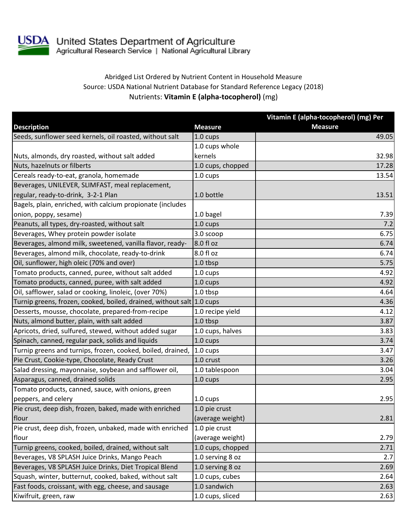

USDA United States Department of Agriculture<br>Agricultural Research Service | National Agricultural Library

## Abridged List Ordered by Nutrient Content in Household Measure Source: USDA National Nutrient Database for Standard Reference Legacy (2018) Nutrients: **Vitamin E (alpha-tocopherol)** (mg)

| <b>Measure</b><br><b>Description</b><br><b>Measure</b><br>Seeds, sunflower seed kernels, oil roasted, without salt<br>1.0 cups<br>49.05<br>1.0 cups whole<br>kernels<br>32.98<br>Nuts, almonds, dry roasted, without salt added<br>Nuts, hazelnuts or filberts<br>1.0 cups, chopped<br>17.28<br>Cereals ready-to-eat, granola, homemade<br>13.54<br>1.0 cups<br>Beverages, UNILEVER, SLIMFAST, meal replacement,<br>regular, ready-to-drink, 3-2-1 Plan<br>1.0 bottle<br>13.51<br>Bagels, plain, enriched, with calcium propionate (includes<br>onion, poppy, sesame)<br>1.0 bagel<br>7.39<br>Peanuts, all types, dry-roasted, without salt<br>1.0 cups<br>7.2<br>Beverages, Whey protein powder isolate<br>6.75<br>3.0 scoop<br>8.0 fl oz<br>Beverages, almond milk, sweetened, vanilla flavor, ready-<br>6.74<br>8.0 fl oz<br>Beverages, almond milk, chocolate, ready-to-drink<br>6.74<br>Oil, sunflower, high oleic (70% and over)<br>1.0 tbsp<br>5.75<br>Tomato products, canned, puree, without salt added<br>4.92<br>1.0 cups<br>Tomato products, canned, puree, with salt added<br>4.92<br>$1.0 \text{ cups}$<br>Oil, safflower, salad or cooking, linoleic, (over 70%)<br>1.0 tbsp<br>4.64<br>Turnip greens, frozen, cooked, boiled, drained, without salt 1.0 cups<br>4.36<br>Desserts, mousse, chocolate, prepared-from-recipe<br>4.12<br>1.0 recipe yield<br>Nuts, almond butter, plain, with salt added<br>1.0 tbsp<br>3.87<br>Apricots, dried, sulfured, stewed, without added sugar<br>1.0 cups, halves<br>3.83 |
|--------------------------------------------------------------------------------------------------------------------------------------------------------------------------------------------------------------------------------------------------------------------------------------------------------------------------------------------------------------------------------------------------------------------------------------------------------------------------------------------------------------------------------------------------------------------------------------------------------------------------------------------------------------------------------------------------------------------------------------------------------------------------------------------------------------------------------------------------------------------------------------------------------------------------------------------------------------------------------------------------------------------------------------------------------------------------------------------------------------------------------------------------------------------------------------------------------------------------------------------------------------------------------------------------------------------------------------------------------------------------------------------------------------------------------------------------------------------------------------------------------------------------------|
|                                                                                                                                                                                                                                                                                                                                                                                                                                                                                                                                                                                                                                                                                                                                                                                                                                                                                                                                                                                                                                                                                                                                                                                                                                                                                                                                                                                                                                                                                                                                |
|                                                                                                                                                                                                                                                                                                                                                                                                                                                                                                                                                                                                                                                                                                                                                                                                                                                                                                                                                                                                                                                                                                                                                                                                                                                                                                                                                                                                                                                                                                                                |
|                                                                                                                                                                                                                                                                                                                                                                                                                                                                                                                                                                                                                                                                                                                                                                                                                                                                                                                                                                                                                                                                                                                                                                                                                                                                                                                                                                                                                                                                                                                                |
|                                                                                                                                                                                                                                                                                                                                                                                                                                                                                                                                                                                                                                                                                                                                                                                                                                                                                                                                                                                                                                                                                                                                                                                                                                                                                                                                                                                                                                                                                                                                |
|                                                                                                                                                                                                                                                                                                                                                                                                                                                                                                                                                                                                                                                                                                                                                                                                                                                                                                                                                                                                                                                                                                                                                                                                                                                                                                                                                                                                                                                                                                                                |
|                                                                                                                                                                                                                                                                                                                                                                                                                                                                                                                                                                                                                                                                                                                                                                                                                                                                                                                                                                                                                                                                                                                                                                                                                                                                                                                                                                                                                                                                                                                                |
|                                                                                                                                                                                                                                                                                                                                                                                                                                                                                                                                                                                                                                                                                                                                                                                                                                                                                                                                                                                                                                                                                                                                                                                                                                                                                                                                                                                                                                                                                                                                |
|                                                                                                                                                                                                                                                                                                                                                                                                                                                                                                                                                                                                                                                                                                                                                                                                                                                                                                                                                                                                                                                                                                                                                                                                                                                                                                                                                                                                                                                                                                                                |
|                                                                                                                                                                                                                                                                                                                                                                                                                                                                                                                                                                                                                                                                                                                                                                                                                                                                                                                                                                                                                                                                                                                                                                                                                                                                                                                                                                                                                                                                                                                                |
|                                                                                                                                                                                                                                                                                                                                                                                                                                                                                                                                                                                                                                                                                                                                                                                                                                                                                                                                                                                                                                                                                                                                                                                                                                                                                                                                                                                                                                                                                                                                |
|                                                                                                                                                                                                                                                                                                                                                                                                                                                                                                                                                                                                                                                                                                                                                                                                                                                                                                                                                                                                                                                                                                                                                                                                                                                                                                                                                                                                                                                                                                                                |
|                                                                                                                                                                                                                                                                                                                                                                                                                                                                                                                                                                                                                                                                                                                                                                                                                                                                                                                                                                                                                                                                                                                                                                                                                                                                                                                                                                                                                                                                                                                                |
|                                                                                                                                                                                                                                                                                                                                                                                                                                                                                                                                                                                                                                                                                                                                                                                                                                                                                                                                                                                                                                                                                                                                                                                                                                                                                                                                                                                                                                                                                                                                |
|                                                                                                                                                                                                                                                                                                                                                                                                                                                                                                                                                                                                                                                                                                                                                                                                                                                                                                                                                                                                                                                                                                                                                                                                                                                                                                                                                                                                                                                                                                                                |
|                                                                                                                                                                                                                                                                                                                                                                                                                                                                                                                                                                                                                                                                                                                                                                                                                                                                                                                                                                                                                                                                                                                                                                                                                                                                                                                                                                                                                                                                                                                                |
|                                                                                                                                                                                                                                                                                                                                                                                                                                                                                                                                                                                                                                                                                                                                                                                                                                                                                                                                                                                                                                                                                                                                                                                                                                                                                                                                                                                                                                                                                                                                |
|                                                                                                                                                                                                                                                                                                                                                                                                                                                                                                                                                                                                                                                                                                                                                                                                                                                                                                                                                                                                                                                                                                                                                                                                                                                                                                                                                                                                                                                                                                                                |
|                                                                                                                                                                                                                                                                                                                                                                                                                                                                                                                                                                                                                                                                                                                                                                                                                                                                                                                                                                                                                                                                                                                                                                                                                                                                                                                                                                                                                                                                                                                                |
|                                                                                                                                                                                                                                                                                                                                                                                                                                                                                                                                                                                                                                                                                                                                                                                                                                                                                                                                                                                                                                                                                                                                                                                                                                                                                                                                                                                                                                                                                                                                |
|                                                                                                                                                                                                                                                                                                                                                                                                                                                                                                                                                                                                                                                                                                                                                                                                                                                                                                                                                                                                                                                                                                                                                                                                                                                                                                                                                                                                                                                                                                                                |
|                                                                                                                                                                                                                                                                                                                                                                                                                                                                                                                                                                                                                                                                                                                                                                                                                                                                                                                                                                                                                                                                                                                                                                                                                                                                                                                                                                                                                                                                                                                                |
|                                                                                                                                                                                                                                                                                                                                                                                                                                                                                                                                                                                                                                                                                                                                                                                                                                                                                                                                                                                                                                                                                                                                                                                                                                                                                                                                                                                                                                                                                                                                |
| Spinach, canned, regular pack, solids and liquids<br>1.0 cups<br>3.74                                                                                                                                                                                                                                                                                                                                                                                                                                                                                                                                                                                                                                                                                                                                                                                                                                                                                                                                                                                                                                                                                                                                                                                                                                                                                                                                                                                                                                                          |
| Turnip greens and turnips, frozen, cooked, boiled, drained,<br>3.47<br>$1.0 \text{ cups}$                                                                                                                                                                                                                                                                                                                                                                                                                                                                                                                                                                                                                                                                                                                                                                                                                                                                                                                                                                                                                                                                                                                                                                                                                                                                                                                                                                                                                                      |
| Pie Crust, Cookie-type, Chocolate, Ready Crust<br>1.0 crust<br>3.26                                                                                                                                                                                                                                                                                                                                                                                                                                                                                                                                                                                                                                                                                                                                                                                                                                                                                                                                                                                                                                                                                                                                                                                                                                                                                                                                                                                                                                                            |
| 1.0 tablespoon<br>Salad dressing, mayonnaise, soybean and safflower oil,<br>3.04                                                                                                                                                                                                                                                                                                                                                                                                                                                                                                                                                                                                                                                                                                                                                                                                                                                                                                                                                                                                                                                                                                                                                                                                                                                                                                                                                                                                                                               |
| Asparagus, canned, drained solids<br>2.95<br>1.0 cups                                                                                                                                                                                                                                                                                                                                                                                                                                                                                                                                                                                                                                                                                                                                                                                                                                                                                                                                                                                                                                                                                                                                                                                                                                                                                                                                                                                                                                                                          |
| Tomato products, canned, sauce, with onions, green                                                                                                                                                                                                                                                                                                                                                                                                                                                                                                                                                                                                                                                                                                                                                                                                                                                                                                                                                                                                                                                                                                                                                                                                                                                                                                                                                                                                                                                                             |
| 2.95<br>peppers, and celery<br>1.0 cups                                                                                                                                                                                                                                                                                                                                                                                                                                                                                                                                                                                                                                                                                                                                                                                                                                                                                                                                                                                                                                                                                                                                                                                                                                                                                                                                                                                                                                                                                        |
| Pie crust, deep dish, frozen, baked, made with enriched<br>1.0 pie crust                                                                                                                                                                                                                                                                                                                                                                                                                                                                                                                                                                                                                                                                                                                                                                                                                                                                                                                                                                                                                                                                                                                                                                                                                                                                                                                                                                                                                                                       |
| flour<br>2.81<br>(average weight)                                                                                                                                                                                                                                                                                                                                                                                                                                                                                                                                                                                                                                                                                                                                                                                                                                                                                                                                                                                                                                                                                                                                                                                                                                                                                                                                                                                                                                                                                              |
| Pie crust, deep dish, frozen, unbaked, made with enriched<br>1.0 pie crust                                                                                                                                                                                                                                                                                                                                                                                                                                                                                                                                                                                                                                                                                                                                                                                                                                                                                                                                                                                                                                                                                                                                                                                                                                                                                                                                                                                                                                                     |
| 2.79<br>(average weight)<br>flour                                                                                                                                                                                                                                                                                                                                                                                                                                                                                                                                                                                                                                                                                                                                                                                                                                                                                                                                                                                                                                                                                                                                                                                                                                                                                                                                                                                                                                                                                              |
| Turnip greens, cooked, boiled, drained, without salt<br>1.0 cups, chopped<br>2.71                                                                                                                                                                                                                                                                                                                                                                                                                                                                                                                                                                                                                                                                                                                                                                                                                                                                                                                                                                                                                                                                                                                                                                                                                                                                                                                                                                                                                                              |
| Beverages, V8 SPLASH Juice Drinks, Mango Peach<br>1.0 serving 8 oz<br>2.7                                                                                                                                                                                                                                                                                                                                                                                                                                                                                                                                                                                                                                                                                                                                                                                                                                                                                                                                                                                                                                                                                                                                                                                                                                                                                                                                                                                                                                                      |
| Beverages, V8 SPLASH Juice Drinks, Diet Tropical Blend<br>1.0 serving 8 oz<br>2.69                                                                                                                                                                                                                                                                                                                                                                                                                                                                                                                                                                                                                                                                                                                                                                                                                                                                                                                                                                                                                                                                                                                                                                                                                                                                                                                                                                                                                                             |
| Squash, winter, butternut, cooked, baked, without salt<br>1.0 cups, cubes<br>2.64                                                                                                                                                                                                                                                                                                                                                                                                                                                                                                                                                                                                                                                                                                                                                                                                                                                                                                                                                                                                                                                                                                                                                                                                                                                                                                                                                                                                                                              |
| Fast foods, croissant, with egg, cheese, and sausage<br>1.0 sandwich<br>2.63                                                                                                                                                                                                                                                                                                                                                                                                                                                                                                                                                                                                                                                                                                                                                                                                                                                                                                                                                                                                                                                                                                                                                                                                                                                                                                                                                                                                                                                   |
| 1.0 cups, sliced<br>Kiwifruit, green, raw<br>2.63                                                                                                                                                                                                                                                                                                                                                                                                                                                                                                                                                                                                                                                                                                                                                                                                                                                                                                                                                                                                                                                                                                                                                                                                                                                                                                                                                                                                                                                                              |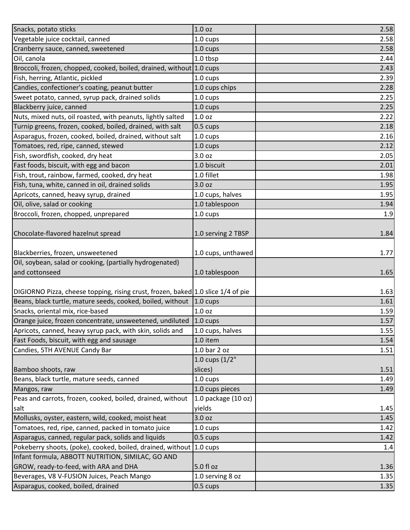| Snacks, potato sticks                                                            | 1.0 <sub>oz</sub>   | 2.58 |
|----------------------------------------------------------------------------------|---------------------|------|
| Vegetable juice cocktail, canned                                                 | 1.0 cups            | 2.58 |
| Cranberry sauce, canned, sweetened                                               | $1.0 \text{ cups}$  | 2.58 |
| Oil, canola                                                                      | $1.0$ tbsp          | 2.44 |
| Broccoli, frozen, chopped, cooked, boiled, drained, without 1.0 cups             |                     | 2.43 |
| Fish, herring, Atlantic, pickled                                                 | 1.0 cups            | 2.39 |
| Candies, confectioner's coating, peanut butter                                   | 1.0 cups chips      | 2.28 |
| Sweet potato, canned, syrup pack, drained solids                                 | 1.0 cups            | 2.25 |
| Blackberry juice, canned                                                         | 1.0 cups            | 2.25 |
| Nuts, mixed nuts, oil roasted, with peanuts, lightly salted                      | 1.0 <sub>oz</sub>   | 2.22 |
| Turnip greens, frozen, cooked, boiled, drained, with salt                        | $0.5 \text{ cups}$  | 2.18 |
| Asparagus, frozen, cooked, boiled, drained, without salt                         | $1.0 \text{ cups}$  | 2.16 |
| Tomatoes, red, ripe, canned, stewed                                              | $1.0 \text{ cups}$  | 2.12 |
| Fish, swordfish, cooked, dry heat                                                | 3.0 oz              | 2.05 |
| Fast foods, biscuit, with egg and bacon                                          | 1.0 biscuit         | 2.01 |
| Fish, trout, rainbow, farmed, cooked, dry heat                                   | 1.0 fillet          | 1.98 |
| Fish, tuna, white, canned in oil, drained solids                                 | 3.0 oz              | 1.95 |
| Apricots, canned, heavy syrup, drained                                           | 1.0 cups, halves    | 1.95 |
| Oil, olive, salad or cooking                                                     | 1.0 tablespoon      | 1.94 |
| Broccoli, frozen, chopped, unprepared                                            | 1.0 cups            | 1.9  |
|                                                                                  |                     |      |
| Chocolate-flavored hazelnut spread                                               | 1.0 serving 2 TBSP  | 1.84 |
|                                                                                  |                     |      |
| Blackberries, frozen, unsweetened                                                | 1.0 cups, unthawed  | 1.77 |
| Oil, soybean, salad or cooking, (partially hydrogenated)                         |                     |      |
| and cottonseed                                                                   | 1.0 tablespoon      | 1.65 |
|                                                                                  |                     |      |
| DIGIORNO Pizza, cheese topping, rising crust, frozen, baked 1.0 slice 1/4 of pie |                     | 1.63 |
| Beans, black turtle, mature seeds, cooked, boiled, without 1.0 cups              |                     | 1.61 |
| Snacks, oriental mix, rice-based                                                 | 1.0 <sub>oz</sub>   | 1.59 |
| Orange juice, frozen concentrate, unsweetened, undiluted 1.0 cups                |                     | 1.57 |
| Apricots, canned, heavy syrup pack, with skin, solids and                        | 1.0 cups, halves    | 1.55 |
| Fast Foods, biscuit, with egg and sausage                                        | 1.0 item            | 1.54 |
| Candies, 5TH AVENUE Candy Bar                                                    | 1.0 bar 2 oz        | 1.51 |
|                                                                                  | 1.0 cups $(1/2"$    |      |
| Bamboo shoots, raw                                                               | slices)             | 1.51 |
| Beans, black turtle, mature seeds, canned                                        | $1.0 \text{ cups}$  | 1.49 |
| Mangos, raw                                                                      | 1.0 cups pieces     | 1.49 |
| Peas and carrots, frozen, cooked, boiled, drained, without                       | 1.0 package (10 oz) |      |
| salt                                                                             | yields              | 1.45 |
| Mollusks, oyster, eastern, wild, cooked, moist heat                              | 3.0 oz              | 1.45 |
| Tomatoes, red, ripe, canned, packed in tomato juice                              | 1.0 cups            | 1.42 |
| Asparagus, canned, regular pack, solids and liquids                              | 0.5 cups            | 1.42 |
| Pokeberry shoots, (poke), cooked, boiled, drained, without 1.0 cups              |                     | 1.4  |
| Infant formula, ABBOTT NUTRITION, SIMILAC, GO AND                                |                     |      |
| GROW, ready-to-feed, with ARA and DHA                                            | 5.0 fl oz           | 1.36 |
| Beverages, V8 V-FUSION Juices, Peach Mango                                       | 1.0 serving 8 oz    | 1.35 |
| Asparagus, cooked, boiled, drained                                               | $0.5 \text{ cups}$  | 1.35 |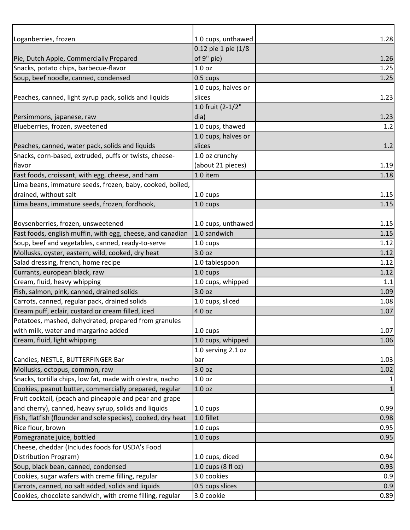| Loganberries, frozen                                         | 1.0 cups, unthawed  | 1.28         |
|--------------------------------------------------------------|---------------------|--------------|
|                                                              | 0.12 pie 1 pie (1/8 |              |
| Pie, Dutch Apple, Commercially Prepared                      | of 9" pie)          | 1.26         |
| Snacks, potato chips, barbecue-flavor                        | 1.0 <sub>oz</sub>   | 1.25         |
| Soup, beef noodle, canned, condensed                         | $0.5 \text{ cups}$  | 1.25         |
|                                                              | 1.0 cups, halves or |              |
| Peaches, canned, light syrup pack, solids and liquids        | slices              | 1.23         |
|                                                              | 1.0 fruit (2-1/2"   |              |
| Persimmons, japanese, raw                                    | dia)                | 1.23         |
| Blueberries, frozen, sweetened                               | 1.0 cups, thawed    | 1.2          |
|                                                              | 1.0 cups, halves or |              |
| Peaches, canned, water pack, solids and liquids              | slices              | 1.2          |
| Snacks, corn-based, extruded, puffs or twists, cheese-       | 1.0 oz crunchy      |              |
| flavor                                                       | (about 21 pieces)   | 1.19         |
| Fast foods, croissant, with egg, cheese, and ham             | 1.0 item            | 1.18         |
| Lima beans, immature seeds, frozen, baby, cooked, boiled,    |                     |              |
| drained, without salt                                        | 1.0 cups            | 1.15         |
| Lima beans, immature seeds, frozen, fordhook,                | 1.0 cups            | 1.15         |
|                                                              |                     |              |
| Boysenberries, frozen, unsweetened                           | 1.0 cups, unthawed  | 1.15         |
| Fast foods, english muffin, with egg, cheese, and canadian   | 1.0 sandwich        | 1.15         |
| Soup, beef and vegetables, canned, ready-to-serve            | 1.0 cups            | 1.12         |
| Mollusks, oyster, eastern, wild, cooked, dry heat            | 3.0 <sub>oz</sub>   | 1.12         |
| Salad dressing, french, home recipe                          | 1.0 tablespoon      | 1.12         |
| Currants, european black, raw                                | 1.0 cups            | 1.12         |
| Cream, fluid, heavy whipping                                 | 1.0 cups, whipped   | 1.1          |
| Fish, salmon, pink, canned, drained solids                   | 3.0 oz              | 1.09         |
| Carrots, canned, regular pack, drained solids                | 1.0 cups, sliced    | 1.08         |
| Cream puff, eclair, custard or cream filled, iced            | 4.0 oz              | 1.07         |
| Potatoes, mashed, dehydrated, prepared from granules         |                     |              |
| with milk, water and margarine added                         | $1.0 \text{ cups}$  | 1.07         |
| Cream, fluid, light whipping                                 | 1.0 cups, whipped   | 1.06         |
|                                                              | 1.0 serving 2.1 oz  |              |
| Candies, NESTLE, BUTTERFINGER Bar                            | bar                 | 1.03         |
| Mollusks, octopus, common, raw                               | 3.0 oz              | 1.02         |
| Snacks, tortilla chips, low fat, made with olestra, nacho    | 1.0 <sub>oz</sub>   |              |
| Cookies, peanut butter, commercially prepared, regular       | 1.0 <sub>oz</sub>   | $\mathbf{1}$ |
| Fruit cocktail, (peach and pineapple and pear and grape      |                     |              |
| and cherry), canned, heavy syrup, solids and liquids         | 1.0 cups            | 0.99         |
| Fish, flatfish (flounder and sole species), cooked, dry heat | 1.0 fillet          | 0.98         |
| Rice flour, brown                                            | $1.0 \text{ cups}$  | 0.95         |
| Pomegranate juice, bottled                                   | 1.0 cups            | 0.95         |
| Cheese, cheddar (Includes foods for USDA's Food              |                     |              |
| Distribution Program)                                        | 1.0 cups, diced     | 0.94         |
| Soup, black bean, canned, condensed                          | 1.0 cups (8 fl oz)  | 0.93         |
| Cookies, sugar wafers with creme filling, regular            | 3.0 cookies         | 0.9          |
| Carrots, canned, no salt added, solids and liquids           | 0.5 cups slices     | 0.9          |
| Cookies, chocolate sandwich, with creme filling, regular     | 3.0 cookie          | 0.89         |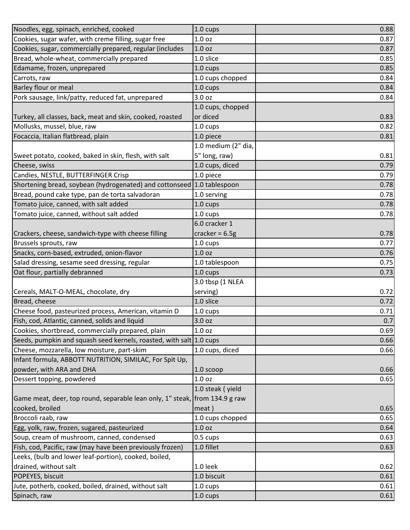| Noodles, egg, spinach, enriched, cooked                                     | 1.0 cups            | 0.88 |
|-----------------------------------------------------------------------------|---------------------|------|
| Cookies, sugar wafer, with creme filling, sugar free                        | 1.0 <sub>oz</sub>   | 0.87 |
| Cookies, sugar, commercially prepared, regular (includes                    | 1.0 <sub>oz</sub>   | 0.87 |
| Bread, whole-wheat, commercially prepared                                   | 1.0 slice           | 0.85 |
| Edamame, frozen, unprepared                                                 | 1.0 cups            | 0.85 |
| Carrots, raw                                                                | 1.0 cups chopped    | 0.84 |
| Barley flour or meal                                                        | 1.0 cups            | 0.84 |
| Pork sausage, link/patty, reduced fat, unprepared                           | 3.0 oz              | 0.84 |
|                                                                             | 1.0 cups, chopped   |      |
| Turkey, all classes, back, meat and skin, cooked, roasted                   | or diced            | 0.83 |
| Mollusks, mussel, blue, raw                                                 | 1.0 cups            | 0.82 |
| Focaccia, Italian flatbread, plain                                          | 1.0 piece           | 0.81 |
|                                                                             | 1.0 medium (2" dia, |      |
| Sweet potato, cooked, baked in skin, flesh, with salt                       | 5" long, raw)       | 0.81 |
| Cheese, swiss                                                               | 1.0 cups, diced     | 0.79 |
| Candies, NESTLE, BUTTERFINGER Crisp                                         | 1.0 piece           | 0.79 |
| Shortening bread, soybean (hydrogenated) and cottonseed 1.0 tablespoon      |                     | 0.78 |
| Bread, pound cake type, pan de torta salvadoran                             | 1.0 serving         | 0.78 |
| Tomato juice, canned, with salt added                                       | 1.0 cups            | 0.78 |
| Tomato juice, canned, without salt added                                    | 1.0 cups            | 0.78 |
|                                                                             | 6.0 cracker 1       |      |
| Crackers, cheese, sandwich-type with cheese filling                         | cracker = $6.5g$    | 0.78 |
| Brussels sprouts, raw                                                       | 1.0 cups            | 0.77 |
| Snacks, corn-based, extruded, onion-flavor                                  | 1.0 <sub>oz</sub>   | 0.76 |
| Salad dressing, sesame seed dressing, regular                               | 1.0 tablespoon      | 0.75 |
| Oat flour, partially debranned                                              | 1.0 cups            | 0.73 |
|                                                                             | 3.0 tbsp (1 NLEA    |      |
| Cereals, MALT-O-MEAL, chocolate, dry                                        | serving)            | 0.72 |
| Bread, cheese                                                               | 1.0 slice           | 0.72 |
| Cheese food, pasteurized process, American, vitamin D                       | 1.0 cups            | 0.71 |
| Fish, cod, Atlantic, canned, solids and liquid                              | 3.0 oz              | 0.7  |
| Cookies, shortbread, commercially prepared, plain                           | 1.0 <sub>oz</sub>   | 0.69 |
| Seeds, pumpkin and squash seed kernels, roasted, with salt 1.0 cups         |                     | 0.66 |
| Cheese, mozzarella, low moisture, part-skim                                 | 1.0 cups, diced     | 0.66 |
| Infant formula, ABBOTT NUTRITION, SIMILAC, For Spit Up,                     |                     |      |
| powder, with ARA and DHA                                                    | 1.0 scoop           | 0.66 |
| Dessert topping, powdered                                                   | 1.0 <sub>oz</sub>   | 0.65 |
|                                                                             | 1.0 steak (yield    |      |
| Game meat, deer, top round, separable lean only, 1" steak, from 134.9 g raw |                     |      |
| cooked, broiled                                                             | meat)               | 0.65 |
| Broccoli raab, raw                                                          | 1.0 cups chopped    | 0.65 |
| Egg, yolk, raw, frozen, sugared, pasteurized                                | 1.0 oz              | 0.64 |
| Soup, cream of mushroom, canned, condensed                                  | 0.5 cups            | 0.63 |
| Fish, cod, Pacific, raw (may have been previously frozen)                   | 1.0 fillet          | 0.63 |
| Leeks, (bulb and lower leaf-portion), cooked, boiled,                       |                     |      |
| drained, without salt                                                       | 1.0 leek            | 0.62 |
| POPEYES, biscuit                                                            | 1.0 biscuit         | 0.61 |
| Jute, potherb, cooked, boiled, drained, without salt                        | 1.0 cups            | 0.61 |
| Spinach, raw                                                                | 1.0 cups            | 0.61 |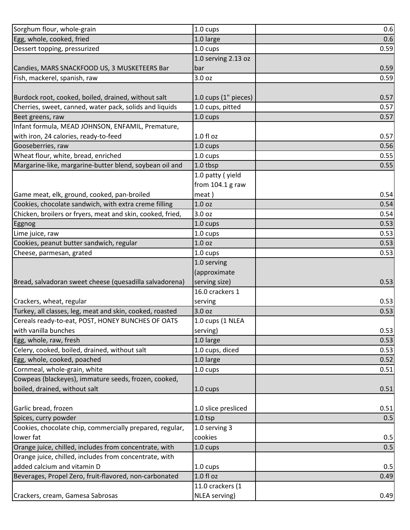| Sorghum flour, whole-grain                                 | 1.0 cups             | 0.6  |
|------------------------------------------------------------|----------------------|------|
| Egg, whole, cooked, fried                                  | 1.0 large            | 0.6  |
| Dessert topping, pressurized                               | 1.0 cups             | 0.59 |
|                                                            | 1.0 serving 2.13 oz  |      |
| Candies, MARS SNACKFOOD US, 3 MUSKETEERS Bar               | bar                  | 0.59 |
| Fish, mackerel, spanish, raw                               | 3.0 oz               | 0.59 |
|                                                            |                      |      |
| Burdock root, cooked, boiled, drained, without salt        | 1.0 cups (1" pieces) | 0.57 |
| Cherries, sweet, canned, water pack, solids and liquids    | 1.0 cups, pitted     | 0.57 |
| Beet greens, raw                                           | $1.0 \text{ cups}$   | 0.57 |
| Infant formula, MEAD JOHNSON, ENFAMIL, Premature,          |                      |      |
| with iron, 24 calories, ready-to-feed                      | $1.0 f$ l oz         | 0.57 |
| Gooseberries, raw                                          | 1.0 cups             | 0.56 |
| Wheat flour, white, bread, enriched                        | 1.0 cups             | 0.55 |
| Margarine-like, margarine-butter blend, soybean oil and    | 1.0 tbsp             | 0.55 |
|                                                            | 1.0 patty (yield     |      |
|                                                            | from $104.1$ g raw   |      |
| Game meat, elk, ground, cooked, pan-broiled                | meat)                | 0.54 |
| Cookies, chocolate sandwich, with extra creme filling      | 1.0 <sub>oz</sub>    | 0.54 |
| Chicken, broilers or fryers, meat and skin, cooked, fried, | 3.0 oz               | 0.54 |
| Eggnog                                                     | 1.0 cups             | 0.53 |
| Lime juice, raw                                            | $1.0 \text{ cups}$   | 0.53 |
| Cookies, peanut butter sandwich, regular                   | 1.0 <sub>oz</sub>    | 0.53 |
| Cheese, parmesan, grated                                   | 1.0 cups             | 0.53 |
|                                                            | 1.0 serving          |      |
|                                                            | (approximate         |      |
| Bread, salvadoran sweet cheese (quesadilla salvadorena)    | serving size)        | 0.53 |
|                                                            | 16.0 crackers 1      |      |
| Crackers, wheat, regular                                   | serving              | 0.53 |
| Turkey, all classes, leg, meat and skin, cooked, roasted   | 3.0 oz               | 0.53 |
| Cereals ready-to-eat, POST, HONEY BUNCHES OF OATS          | 1.0 cups (1 NLEA     |      |
| with vanilla bunches                                       | serving)             | 0.53 |
| Egg, whole, raw, fresh                                     | 1.0 large            | 0.53 |
| Celery, cooked, boiled, drained, without salt              | 1.0 cups, diced      | 0.53 |
| Egg, whole, cooked, poached                                | 1.0 large            | 0.52 |
| Cornmeal, whole-grain, white                               | 1.0 cups             | 0.51 |
| Cowpeas (blackeyes), immature seeds, frozen, cooked,       |                      |      |
| boiled, drained, without salt                              | 1.0 cups             | 0.51 |
|                                                            |                      |      |
| Garlic bread, frozen                                       | 1.0 slice presliced  | 0.51 |
| Spices, curry powder                                       | $1.0$ tsp            | 0.5  |
| Cookies, chocolate chip, commercially prepared, regular,   | 1.0 serving 3        |      |
| lower fat                                                  | cookies              | 0.5  |
| Orange juice, chilled, includes from concentrate, with     | 1.0 cups             | 0.5  |
| Orange juice, chilled, includes from concentrate, with     |                      |      |
| added calcium and vitamin D                                | 1.0 cups             | 0.5  |
| Beverages, Propel Zero, fruit-flavored, non-carbonated     | $1.0 f$ l oz         | 0.49 |
|                                                            | 11.0 crackers (1     |      |
| Crackers, cream, Gamesa Sabrosas                           | NLEA serving)        | 0.49 |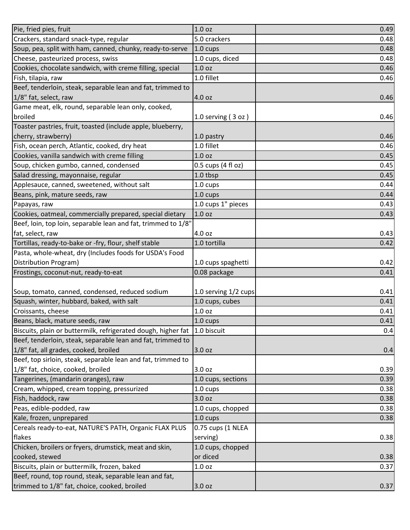| 1.0 <sub>oz</sub>                                         | 0.49                                                                                                                                                                                                                                                                                                                                               |
|-----------------------------------------------------------|----------------------------------------------------------------------------------------------------------------------------------------------------------------------------------------------------------------------------------------------------------------------------------------------------------------------------------------------------|
| 5.0 crackers                                              | 0.48                                                                                                                                                                                                                                                                                                                                               |
| $1.0 \text{ cups}$                                        | 0.48                                                                                                                                                                                                                                                                                                                                               |
| 1.0 cups, diced                                           | 0.48                                                                                                                                                                                                                                                                                                                                               |
| 1.0 oz                                                    | 0.46                                                                                                                                                                                                                                                                                                                                               |
| 1.0 fillet                                                | 0.46                                                                                                                                                                                                                                                                                                                                               |
|                                                           |                                                                                                                                                                                                                                                                                                                                                    |
| 4.0 oz                                                    | 0.46                                                                                                                                                                                                                                                                                                                                               |
|                                                           |                                                                                                                                                                                                                                                                                                                                                    |
| 1.0 serving $(3 oz)$                                      | 0.46                                                                                                                                                                                                                                                                                                                                               |
|                                                           |                                                                                                                                                                                                                                                                                                                                                    |
| 1.0 pastry                                                | 0.46                                                                                                                                                                                                                                                                                                                                               |
| 1.0 fillet                                                | 0.46                                                                                                                                                                                                                                                                                                                                               |
| 1.0 <sub>oz</sub>                                         | 0.45                                                                                                                                                                                                                                                                                                                                               |
| 0.5 cups (4 fl oz)                                        | 0.45                                                                                                                                                                                                                                                                                                                                               |
| 1.0 tbsp                                                  | 0.45                                                                                                                                                                                                                                                                                                                                               |
| 1.0 cups                                                  | 0.44                                                                                                                                                                                                                                                                                                                                               |
| 1.0 cups                                                  | 0.44                                                                                                                                                                                                                                                                                                                                               |
| 1.0 cups 1" pieces                                        | 0.43                                                                                                                                                                                                                                                                                                                                               |
| 1.0 <sub>oz</sub>                                         | 0.43                                                                                                                                                                                                                                                                                                                                               |
|                                                           |                                                                                                                                                                                                                                                                                                                                                    |
| 4.0 oz                                                    | 0.43                                                                                                                                                                                                                                                                                                                                               |
| 1.0 tortilla                                              | 0.42                                                                                                                                                                                                                                                                                                                                               |
|                                                           |                                                                                                                                                                                                                                                                                                                                                    |
| 1.0 cups spaghetti                                        | 0.42                                                                                                                                                                                                                                                                                                                                               |
| 0.08 package                                              | 0.41                                                                                                                                                                                                                                                                                                                                               |
|                                                           |                                                                                                                                                                                                                                                                                                                                                    |
| 1.0 serving 1/2 cups                                      | 0.41                                                                                                                                                                                                                                                                                                                                               |
| 1.0 cups, cubes                                           | 0.41                                                                                                                                                                                                                                                                                                                                               |
| 1.0 <sub>oz</sub>                                         | 0.41                                                                                                                                                                                                                                                                                                                                               |
| 1.0 cups                                                  | 0.41                                                                                                                                                                                                                                                                                                                                               |
|                                                           | 0.4                                                                                                                                                                                                                                                                                                                                                |
|                                                           |                                                                                                                                                                                                                                                                                                                                                    |
| 3.0 oz                                                    | 0.4                                                                                                                                                                                                                                                                                                                                                |
|                                                           |                                                                                                                                                                                                                                                                                                                                                    |
| 3.0 oz                                                    | 0.39                                                                                                                                                                                                                                                                                                                                               |
| 1.0 cups, sections                                        | 0.39                                                                                                                                                                                                                                                                                                                                               |
| 1.0 cups                                                  | 0.38                                                                                                                                                                                                                                                                                                                                               |
| 3.0 <sub>oz</sub>                                         | 0.38                                                                                                                                                                                                                                                                                                                                               |
| 1.0 cups, chopped                                         | 0.38                                                                                                                                                                                                                                                                                                                                               |
| 1.0 cups                                                  | 0.38                                                                                                                                                                                                                                                                                                                                               |
| 0.75 cups (1 NLEA                                         |                                                                                                                                                                                                                                                                                                                                                    |
| serving)                                                  | 0.38                                                                                                                                                                                                                                                                                                                                               |
| 1.0 cups, chopped                                         |                                                                                                                                                                                                                                                                                                                                                    |
| or diced                                                  | 0.38                                                                                                                                                                                                                                                                                                                                               |
| 1.0 <sub>oz</sub>                                         | 0.37                                                                                                                                                                                                                                                                                                                                               |
|                                                           |                                                                                                                                                                                                                                                                                                                                                    |
|                                                           | 0.37                                                                                                                                                                                                                                                                                                                                               |
| Soup, pea, split with ham, canned, chunky, ready-to-serve | Beef, tenderloin, steak, separable lean and fat, trimmed to<br>Beef, loin, top loin, separable lean and fat, trimmed to 1/8"<br>Biscuits, plain or buttermilk, refrigerated dough, higher fat 1.0 biscuit<br>Beef, tenderloin, steak, separable lean and fat, trimmed to<br>Beef, top sirloin, steak, separable lean and fat, trimmed to<br>3.0 oz |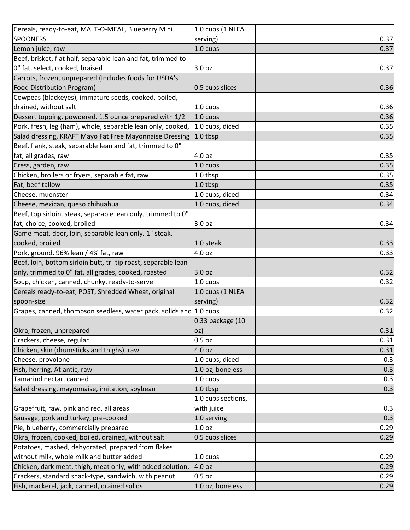| Cereals, ready-to-eat, MALT-O-MEAL, Blueberry Mini                 | 1.0 cups (1 NLEA   |      |
|--------------------------------------------------------------------|--------------------|------|
| <b>SPOONERS</b>                                                    | serving)           | 0.37 |
| Lemon juice, raw                                                   | $1.0 \text{ cups}$ | 0.37 |
| Beef, brisket, flat half, separable lean and fat, trimmed to       |                    |      |
| 0" fat, select, cooked, braised                                    | 3.0 oz             | 0.37 |
| Carrots, frozen, unprepared (Includes foods for USDA's             |                    |      |
| Food Distribution Program)                                         | 0.5 cups slices    | 0.36 |
| Cowpeas (blackeyes), immature seeds, cooked, boiled,               |                    |      |
| drained, without salt                                              | $1.0 \text{ cups}$ | 0.36 |
| Dessert topping, powdered, 1.5 ounce prepared with 1/2             | $1.0 \text{ cups}$ | 0.36 |
| Pork, fresh, leg (ham), whole, separable lean only, cooked,        | 1.0 cups, diced    | 0.35 |
| Salad dressing, KRAFT Mayo Fat Free Mayonnaise Dressing            | $ 1.0$ tbsp        | 0.35 |
| Beef, flank, steak, separable lean and fat, trimmed to 0"          |                    |      |
| fat, all grades, raw                                               | 4.0 oz             | 0.35 |
| Cress, garden, raw                                                 | 1.0 cups           | 0.35 |
| Chicken, broilers or fryers, separable fat, raw                    | 1.0 tbsp           | 0.35 |
| Fat, beef tallow                                                   | $1.0$ tbsp         | 0.35 |
| Cheese, muenster                                                   | 1.0 cups, diced    | 0.34 |
| Cheese, mexican, queso chihuahua                                   | 1.0 cups, diced    | 0.34 |
| Beef, top sirloin, steak, separable lean only, trimmed to 0"       |                    |      |
| fat, choice, cooked, broiled                                       | 3.0 oz             | 0.34 |
| Game meat, deer, loin, separable lean only, 1" steak,              |                    |      |
| cooked, broiled                                                    | 1.0 steak          | 0.33 |
| Pork, ground, 96% lean / 4% fat, raw                               | 4.0 oz             | 0.33 |
| Beef, loin, bottom sirloin butt, tri-tip roast, separable lean     |                    |      |
| only, trimmed to 0" fat, all grades, cooked, roasted               | 3.0 oz             | 0.32 |
| Soup, chicken, canned, chunky, ready-to-serve                      | 1.0 cups           | 0.32 |
| Cereals ready-to-eat, POST, Shredded Wheat, original               | 1.0 cups (1 NLEA   |      |
| spoon-size                                                         | serving)           | 0.32 |
| Grapes, canned, thompson seedless, water pack, solids and 1.0 cups |                    | 0.32 |
|                                                                    | 0.33 package (10   |      |
| Okra, frozen, unprepared                                           | oz)                | 0.31 |
| Crackers, cheese, regular                                          | $0.5$ oz           | 0.31 |
| Chicken, skin (drumsticks and thighs), raw                         | 4.0 oz             | 0.31 |
| Cheese, provolone                                                  | 1.0 cups, diced    | 0.3  |
| Fish, herring, Atlantic, raw                                       | 1.0 oz, boneless   | 0.3  |
| Tamarind nectar, canned                                            | 1.0 cups           | 0.3  |
| Salad dressing, mayonnaise, imitation, soybean                     | 1.0 tbsp           | 0.3  |
|                                                                    | 1.0 cups sections, |      |
| Grapefruit, raw, pink and red, all areas                           | with juice         | 0.3  |
| Sausage, pork and turkey, pre-cooked                               | 1.0 serving        | 0.3  |
| Pie, blueberry, commercially prepared                              | 1.0 <sub>oz</sub>  | 0.29 |
| Okra, frozen, cooked, boiled, drained, without salt                | 0.5 cups slices    | 0.29 |
| Potatoes, mashed, dehydrated, prepared from flakes                 |                    |      |
| without milk, whole milk and butter added                          | 1.0 cups           | 0.29 |
| Chicken, dark meat, thigh, meat only, with added solution,         | 4.0 oz             | 0.29 |
| Crackers, standard snack-type, sandwich, with peanut               | 0.5 oz             | 0.29 |
| Fish, mackerel, jack, canned, drained solids                       | 1.0 oz, boneless   | 0.29 |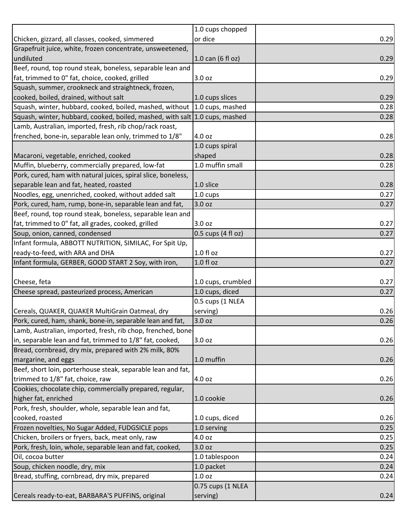|                                                                             | 1.0 cups chopped     |      |
|-----------------------------------------------------------------------------|----------------------|------|
| Chicken, gizzard, all classes, cooked, simmered                             | or dice              | 0.29 |
| Grapefruit juice, white, frozen concentrate, unsweetened,                   |                      |      |
| undiluted                                                                   | $1.0$ can (6 fl oz)  | 0.29 |
| Beef, round, top round steak, boneless, separable lean and                  |                      |      |
| fat, trimmed to 0" fat, choice, cooked, grilled                             | 3.0 oz               | 0.29 |
| Squash, summer, crookneck and straightneck, frozen,                         |                      |      |
| cooked, boiled, drained, without salt                                       | 1.0 cups slices      | 0.29 |
| Squash, winter, hubbard, cooked, boiled, mashed, without                    | 1.0 cups, mashed     | 0.28 |
| Squash, winter, hubbard, cooked, boiled, mashed, with salt 1.0 cups, mashed |                      | 0.28 |
| Lamb, Australian, imported, fresh, rib chop/rack roast,                     |                      |      |
| frenched, bone-in, separable lean only, trimmed to 1/8"                     | 4.0 oz               | 0.28 |
|                                                                             | 1.0 cups spiral      |      |
| Macaroni, vegetable, enriched, cooked                                       | shaped               | 0.28 |
| Muffin, blueberry, commercially prepared, low-fat                           | 1.0 muffin small     | 0.28 |
| Pork, cured, ham with natural juices, spiral slice, boneless,               |                      |      |
| separable lean and fat, heated, roasted                                     | 1.0 slice            | 0.28 |
| Noodles, egg, unenriched, cooked, without added salt                        | $1.0 \text{ cups}$   | 0.27 |
| Pork, cured, ham, rump, bone-in, separable lean and fat,                    | 3.0 oz               | 0.27 |
| Beef, round, top round steak, boneless, separable lean and                  |                      |      |
| fat, trimmed to 0" fat, all grades, cooked, grilled                         | 3.0 oz               | 0.27 |
| Soup, onion, canned, condensed                                              | $0.5$ cups (4 fl oz) | 0.27 |
| Infant formula, ABBOTT NUTRITION, SIMILAC, For Spit Up,                     |                      |      |
| ready-to-feed, with ARA and DHA                                             | 1.0 fl oz            | 0.27 |
| Infant formula, GERBER, GOOD START 2 Soy, with iron,                        | $1.0 f$ l oz         | 0.27 |
|                                                                             |                      |      |
| Cheese, feta                                                                | 1.0 cups, crumbled   | 0.27 |
| Cheese spread, pasteurized process, American                                | 1.0 cups, diced      | 0.27 |
|                                                                             | 0.5 cups (1 NLEA     |      |
| Cereals, QUAKER, QUAKER MultiGrain Oatmeal, dry                             | serving)             | 0.26 |
| Pork, cured, ham, shank, bone-in, separable lean and fat,                   | 3.0 oz               | 0.26 |
| Lamb, Australian, imported, fresh, rib chop, frenched, bone-                |                      |      |
| in, separable lean and fat, trimmed to 1/8" fat, cooked,                    | 3.0 oz               | 0.26 |
| Bread, cornbread, dry mix, prepared with 2% milk, 80%                       |                      |      |
| margarine, and eggs                                                         | 1.0 muffin           | 0.26 |
| Beef, short loin, porterhouse steak, separable lean and fat,                |                      |      |
| trimmed to 1/8" fat, choice, raw                                            | 4.0 oz               | 0.26 |
| Cookies, chocolate chip, commercially prepared, regular,                    |                      |      |
| higher fat, enriched                                                        | 1.0 cookie           | 0.26 |
| Pork, fresh, shoulder, whole, separable lean and fat,                       |                      |      |
| cooked, roasted                                                             | 1.0 cups, diced      | 0.26 |
| Frozen novelties, No Sugar Added, FUDGSICLE pops                            | 1.0 serving          | 0.25 |
| Chicken, broilers or fryers, back, meat only, raw                           | 4.0 oz               | 0.25 |
| Pork, fresh, loin, whole, separable lean and fat, cooked,                   | 3.0 <sub>oz</sub>    | 0.25 |
| Oil, cocoa butter                                                           | 1.0 tablespoon       | 0.24 |
| Soup, chicken noodle, dry, mix                                              | 1.0 packet           | 0.24 |
| Bread, stuffing, cornbread, dry mix, prepared                               | 1.0 <sub>oz</sub>    | 0.24 |
|                                                                             | 0.75 cups (1 NLEA    |      |
| Cereals ready-to-eat, BARBARA'S PUFFINS, original                           | serving)             | 0.24 |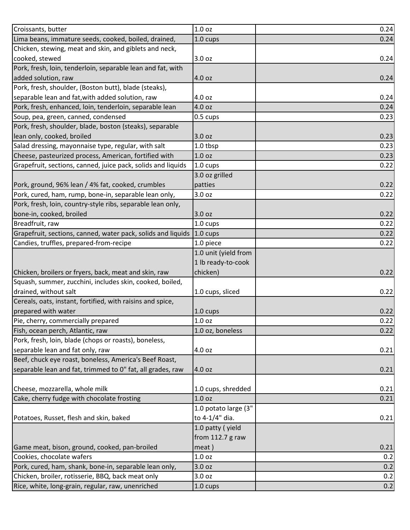| Croissants, butter                                                                                     | 1.0 <sub>oz</sub>    | 0.24       |
|--------------------------------------------------------------------------------------------------------|----------------------|------------|
| Lima beans, immature seeds, cooked, boiled, drained,                                                   | 1.0 cups             | 0.24       |
| Chicken, stewing, meat and skin, and giblets and neck,                                                 |                      |            |
| cooked, stewed                                                                                         | 3.0 oz               | 0.24       |
| Pork, fresh, loin, tenderloin, separable lean and fat, with                                            |                      |            |
| added solution, raw                                                                                    | 4.0 oz               | 0.24       |
| Pork, fresh, shoulder, (Boston butt), blade (steaks),                                                  |                      |            |
| separable lean and fat, with added solution, raw                                                       | 4.0 oz               | 0.24       |
| Pork, fresh, enhanced, loin, tenderloin, separable lean                                                | 4.0 oz               | 0.24       |
| Soup, pea, green, canned, condensed                                                                    | $0.5 \text{ cups}$   | 0.23       |
| Pork, fresh, shoulder, blade, boston (steaks), separable                                               |                      |            |
| lean only, cooked, broiled                                                                             | 3.0 oz               | 0.23       |
| Salad dressing, mayonnaise type, regular, with salt                                                    | 1.0 tbsp             | 0.23       |
| Cheese, pasteurized process, American, fortified with                                                  | 1.0 oz               | 0.23       |
| Grapefruit, sections, canned, juice pack, solids and liquids                                           | 1.0 cups             | 0.22       |
|                                                                                                        | 3.0 oz grilled       |            |
| Pork, ground, 96% lean / 4% fat, cooked, crumbles                                                      | patties              | 0.22       |
| Pork, cured, ham, rump, bone-in, separable lean only,                                                  | 3.0 oz               | 0.22       |
| Pork, fresh, loin, country-style ribs, separable lean only,                                            |                      |            |
| bone-in, cooked, broiled                                                                               | 3.0 oz               | 0.22       |
| Breadfruit, raw                                                                                        | 1.0 cups             | 0.22       |
| Grapefruit, sections, canned, water pack, solids and liquids 1.0 cups                                  |                      | 0.22       |
| Candies, truffles, prepared-from-recipe                                                                | 1.0 piece            | 0.22       |
|                                                                                                        | 1.0 unit (yield from |            |
|                                                                                                        | 1 lb ready-to-cook   |            |
| Chicken, broilers or fryers, back, meat and skin, raw                                                  | chicken)             | 0.22       |
| Squash, summer, zucchini, includes skin, cooked, boiled,                                               |                      |            |
| drained, without salt                                                                                  | 1.0 cups, sliced     | 0.22       |
| Cereals, oats, instant, fortified, with raisins and spice,                                             |                      |            |
| prepared with water                                                                                    | 1.0 cups             | 0.22       |
| Pie, cherry, commercially prepared                                                                     | 1.0 <sub>oz</sub>    | 0.22       |
| Fish, ocean perch, Atlantic, raw                                                                       | 1.0 oz, boneless     | 0.22       |
| Pork, fresh, loin, blade (chops or roasts), boneless,                                                  |                      |            |
| separable lean and fat only, raw                                                                       | 4.0 oz               | 0.21       |
| Beef, chuck eye roast, boneless, America's Beef Roast,                                                 |                      |            |
| separable lean and fat, trimmed to 0" fat, all grades, raw                                             | 4.0 oz               | 0.21       |
|                                                                                                        |                      |            |
| Cheese, mozzarella, whole milk                                                                         | 1.0 cups, shredded   | 0.21       |
| Cake, cherry fudge with chocolate frosting                                                             | 1.0 <sub>oz</sub>    | 0.21       |
|                                                                                                        | 1.0 potato large (3" |            |
| Potatoes, Russet, flesh and skin, baked                                                                | to 4-1/4" dia.       | 0.21       |
|                                                                                                        | 1.0 patty (yield     |            |
|                                                                                                        | from $112.7$ g raw   |            |
| Game meat, bison, ground, cooked, pan-broiled                                                          | meat)                | 0.21       |
| Cookies, chocolate wafers                                                                              | 1.0 <sub>oz</sub>    | 0.2        |
|                                                                                                        |                      |            |
| Pork, cured, ham, shank, bone-in, separable lean only,                                                 | 3.0 oz               | 0.2        |
| Chicken, broiler, rotisserie, BBQ, back meat only<br>Rice, white, long-grain, regular, raw, unenriched | 3.0 oz               | 0.2<br>0.2 |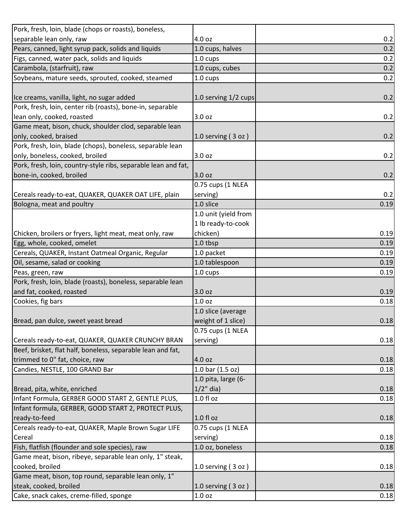| Pork, fresh, loin, blade (chops or roasts), boneless,          |                      |      |
|----------------------------------------------------------------|----------------------|------|
| separable lean only, raw                                       | 4.0 oz               | 0.2  |
| Pears, canned, light syrup pack, solids and liquids            | 1.0 cups, halves     | 0.2  |
| Figs, canned, water pack, solids and liquids                   | 1.0 cups             | 0.2  |
| Carambola, (starfruit), raw                                    | 1.0 cups, cubes      | 0.2  |
| Soybeans, mature seeds, sprouted, cooked, steamed              | 1.0 cups             | 0.2  |
|                                                                |                      |      |
| Ice creams, vanilla, light, no sugar added                     | 1.0 serving 1/2 cups | 0.2  |
| Pork, fresh, loin, center rib (roasts), bone-in, separable     |                      |      |
| lean only, cooked, roasted                                     | 3.0 oz               | 0.2  |
| Game meat, bison, chuck, shoulder clod, separable lean         |                      |      |
| only, cooked, braised                                          | 1.0 serving $(3 oz)$ | 0.2  |
| Pork, fresh, loin, blade (chops), boneless, separable lean     |                      |      |
| only, boneless, cooked, broiled                                | 3.0 oz               | 0.2  |
| Pork, fresh, loin, country-style ribs, separable lean and fat, |                      |      |
| bone-in, cooked, broiled                                       | 3.0 oz               | 0.2  |
|                                                                | 0.75 cups (1 NLEA    |      |
| Cereals ready-to-eat, QUAKER, QUAKER OAT LIFE, plain           | serving)             | 0.2  |
| Bologna, meat and poultry                                      | 1.0 slice            | 0.19 |
|                                                                | 1.0 unit (yield from |      |
|                                                                | 1 lb ready-to-cook   |      |
| Chicken, broilers or fryers, light meat, meat only, raw        | chicken)             | 0.19 |
| Egg, whole, cooked, omelet                                     | 1.0 tbsp             | 0.19 |
| Cereals, QUAKER, Instant Oatmeal Organic, Regular              | 1.0 packet           | 0.19 |
| Oil, sesame, salad or cooking                                  | 1.0 tablespoon       | 0.19 |
| Peas, green, raw                                               | 1.0 cups             | 0.19 |
| Pork, fresh, loin, blade (roasts), boneless, separable lean    |                      |      |
| and fat, cooked, roasted                                       | 3.0 oz               | 0.19 |
| Cookies, fig bars                                              | 1.0 <sub>oz</sub>    | 0.18 |
|                                                                | 1.0 slice (average   |      |
| Bread, pan dulce, sweet yeast bread                            | weight of 1 slice)   | 0.18 |
|                                                                | 0.75 cups (1 NLEA    |      |
| Cereals ready-to-eat, QUAKER, QUAKER CRUNCHY BRAN              | serving)             | 0.18 |
| Beef, brisket, flat half, boneless, separable lean and fat,    |                      |      |
| trimmed to 0" fat, choice, raw                                 | 4.0 oz               | 0.18 |
| Candies, NESTLE, 100 GRAND Bar                                 | 1.0 bar (1.5 oz)     | 0.18 |
|                                                                | 1.0 pita, large (6-  |      |
| Bread, pita, white, enriched                                   | $1/2$ " dia)         | 0.18 |
| Infant Formula, GERBER GOOD START 2, GENTLE PLUS,              | $1.0 f$ l oz         | 0.18 |
| Infant formula, GERBER, GOOD START 2, PROTECT PLUS,            |                      |      |
| ready-to-feed                                                  | 1.0 f1 oz            | 0.18 |
| Cereals ready-to-eat, QUAKER, Maple Brown Sugar LIFE           | 0.75 cups (1 NLEA    |      |
| Cereal                                                         | serving)             | 0.18 |
| Fish, flatfish (flounder and sole species), raw                | 1.0 oz, boneless     | 0.18 |
| Game meat, bison, ribeye, separable lean only, 1" steak,       |                      |      |
| cooked, broiled                                                | 1.0 serving $(3 oz)$ | 0.18 |
| Game meat, bison, top round, separable lean only, 1"           |                      |      |
| steak, cooked, broiled                                         | 1.0 serving $(3 oz)$ | 0.18 |
| Cake, snack cakes, creme-filled, sponge                        | 1.0 oz               | 0.18 |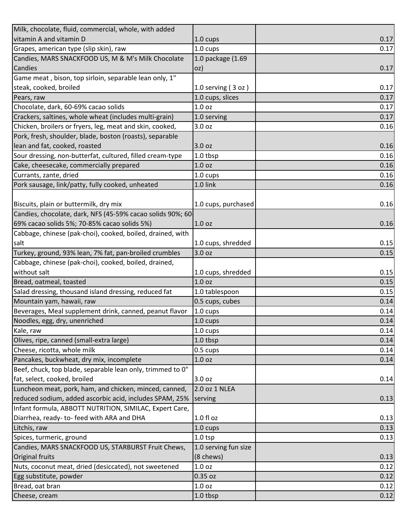| Milk, chocolate, fluid, commercial, whole, with added      |                      |      |
|------------------------------------------------------------|----------------------|------|
| vitamin A and vitamin D                                    | 1.0 cups             | 0.17 |
| Grapes, american type (slip skin), raw                     | $1.0 \text{ cups}$   | 0.17 |
| Candies, MARS SNACKFOOD US, M & M's Milk Chocolate         | 1.0 package (1.69    |      |
| Candies                                                    | oz)                  | 0.17 |
| Game meat, bison, top sirloin, separable lean only, 1"     |                      |      |
| steak, cooked, broiled                                     | 1.0 serving $(3 oz)$ | 0.17 |
| Pears, raw                                                 | 1.0 cups, slices     | 0.17 |
| Chocolate, dark, 60-69% cacao solids                       | 1.0 <sub>oz</sub>    | 0.17 |
| Crackers, saltines, whole wheat (includes multi-grain)     | 1.0 serving          | 0.17 |
| Chicken, broilers or fryers, leg, meat and skin, cooked,   | 3.0 oz               | 0.16 |
| Pork, fresh, shoulder, blade, boston (roasts), separable   |                      |      |
| lean and fat, cooked, roasted                              | 3.0 oz               | 0.16 |
| Sour dressing, non-butterfat, cultured, filled cream-type  | 1.0 tbsp             | 0.16 |
| Cake, cheesecake, commercially prepared                    | 1.0 <sub>oz</sub>    | 0.16 |
| Currants, zante, dried                                     | 1.0 cups             | 0.16 |
| Pork sausage, link/patty, fully cooked, unheated           | 1.0 link             | 0.16 |
|                                                            |                      |      |
| Biscuits, plain or buttermilk, dry mix                     | 1.0 cups, purchased  | 0.16 |
| Candies, chocolate, dark, NFS (45-59% cacao solids 90%; 60 |                      |      |
| 69% cacao solids 5%; 70-85% cacao solids 5%)               | 1.0 <sub>oz</sub>    | 0.16 |
| Cabbage, chinese (pak-choi), cooked, boiled, drained, with |                      |      |
| salt                                                       | 1.0 cups, shredded   | 0.15 |
| Turkey, ground, 93% lean, 7% fat, pan-broiled crumbles     | 3.0 oz               | 0.15 |
| Cabbage, chinese (pak-choi), cooked, boiled, drained,      |                      |      |
|                                                            |                      |      |
| without salt                                               | 1.0 cups, shredded   | 0.15 |
| Bread, oatmeal, toasted                                    | 1.0 <sub>oz</sub>    | 0.15 |
| Salad dressing, thousand island dressing, reduced fat      | 1.0 tablespoon       | 0.15 |
| Mountain yam, hawaii, raw                                  | 0.5 cups, cubes      | 0.14 |
| Beverages, Meal supplement drink, canned, peanut flavor    | 1.0 cups             | 0.14 |
| Noodles, egg, dry, unenriched                              | 1.0 cups             | 0.14 |
| Kale, raw                                                  | 1.0 cups             | 0.14 |
| Olives, ripe, canned (small-extra large)                   | 1.0 tbsp             | 0.14 |
| Cheese, ricotta, whole milk                                | $0.5 \text{ cups}$   | 0.14 |
| Pancakes, buckwheat, dry mix, incomplete                   | 1.0 oz               | 0.14 |
| Beef, chuck, top blade, separable lean only, trimmed to 0" |                      |      |
| fat, select, cooked, broiled                               | 3.0 oz               | 0.14 |
| Luncheon meat, pork, ham, and chicken, minced, canned,     | 2.0 oz 1 NLEA        |      |
| reduced sodium, added ascorbic acid, includes SPAM, 25%    | serving              | 0.13 |
| Infant formula, ABBOTT NUTRITION, SIMILAC, Expert Care,    |                      |      |
| Diarrhea, ready- to-feed with ARA and DHA                  | $1.0 f$ l oz         | 0.13 |
| Litchis, raw                                               | 1.0 cups             | 0.13 |
| Spices, turmeric, ground                                   | $1.0$ tsp            | 0.13 |
| Candies, MARS SNACKFOOD US, STARBURST Fruit Chews,         | 1.0 serving fun size |      |
| Original fruits                                            | (8 chews)            | 0.13 |
| Nuts, coconut meat, dried (desiccated), not sweetened      | 1.0 <sub>oz</sub>    | 0.12 |
| Egg substitute, powder                                     | 0.35 oz              | 0.12 |
| Bread, oat bran                                            | 1.0 <sub>oz</sub>    | 0.12 |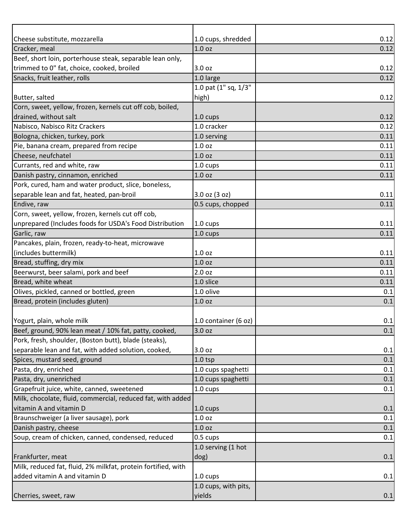| 1.0 <sub>oz</sub><br>0.12<br>Cracker, meal<br>Beef, short loin, porterhouse steak, separable lean only,<br>trimmed to 0" fat, choice, cooked, broiled<br>0.12<br>3.0 oz<br>1.0 large<br>0.12<br>1.0 pat (1" sq, 1/3"<br>0.12<br>high)<br>1.0 cups<br>0.12<br>1.0 cracker<br>0.12<br>1.0 serving<br>0.11<br>1.0 <sub>oz</sub><br>0.11<br>1.0 <sub>oz</sub><br>0.11<br>0.11<br>1.0 cups<br>1.0 <sub>oz</sub><br>0.11<br>0.11<br>3.0 oz (3 oz)<br>0.5 cups, chopped<br>0.11<br>1.0 cups<br>0.11<br>0.11<br>1.0 cups<br>0.11<br>1.0 <sub>oz</sub><br>1.0 <sub>oz</sub><br>0.11<br>0.11<br>2.0 <sub>oz</sub><br>1.0 slice<br>0.11<br>1.0 olive<br>0.1<br>0.1<br>1.0 <sub>oz</sub><br>1.0 container (6 oz)<br>0.1<br>3.0 oz<br>0.1<br>3.0 oz<br>0.1<br>$1.0$ tsp<br>0.1<br>1.0 cups spaghetti<br>0.1<br>1.0 cups spaghetti<br>0.1<br>1.0 cups<br>0.1<br>1.0 cups<br>0.1<br>1.0 oz<br>0.1<br>1.0 <sub>oz</sub><br>0.1<br>0.1<br>$0.5 \text{ cups}$<br>1.0 serving (1 hot<br>dog)<br>0.1<br>1.0 cups<br>0.1<br>1.0 cups, with pits,<br>yields<br>0.1 |                                                               |                    |      |
|----------------------------------------------------------------------------------------------------------------------------------------------------------------------------------------------------------------------------------------------------------------------------------------------------------------------------------------------------------------------------------------------------------------------------------------------------------------------------------------------------------------------------------------------------------------------------------------------------------------------------------------------------------------------------------------------------------------------------------------------------------------------------------------------------------------------------------------------------------------------------------------------------------------------------------------------------------------------------------------------------------------------------------------------|---------------------------------------------------------------|--------------------|------|
|                                                                                                                                                                                                                                                                                                                                                                                                                                                                                                                                                                                                                                                                                                                                                                                                                                                                                                                                                                                                                                              | Cheese substitute, mozzarella                                 | 1.0 cups, shredded | 0.12 |
|                                                                                                                                                                                                                                                                                                                                                                                                                                                                                                                                                                                                                                                                                                                                                                                                                                                                                                                                                                                                                                              |                                                               |                    |      |
|                                                                                                                                                                                                                                                                                                                                                                                                                                                                                                                                                                                                                                                                                                                                                                                                                                                                                                                                                                                                                                              |                                                               |                    |      |
|                                                                                                                                                                                                                                                                                                                                                                                                                                                                                                                                                                                                                                                                                                                                                                                                                                                                                                                                                                                                                                              |                                                               |                    |      |
|                                                                                                                                                                                                                                                                                                                                                                                                                                                                                                                                                                                                                                                                                                                                                                                                                                                                                                                                                                                                                                              | Snacks, fruit leather, rolls                                  |                    |      |
|                                                                                                                                                                                                                                                                                                                                                                                                                                                                                                                                                                                                                                                                                                                                                                                                                                                                                                                                                                                                                                              |                                                               |                    |      |
|                                                                                                                                                                                                                                                                                                                                                                                                                                                                                                                                                                                                                                                                                                                                                                                                                                                                                                                                                                                                                                              | Butter, salted                                                |                    |      |
|                                                                                                                                                                                                                                                                                                                                                                                                                                                                                                                                                                                                                                                                                                                                                                                                                                                                                                                                                                                                                                              | Corn, sweet, yellow, frozen, kernels cut off cob, boiled,     |                    |      |
|                                                                                                                                                                                                                                                                                                                                                                                                                                                                                                                                                                                                                                                                                                                                                                                                                                                                                                                                                                                                                                              | drained, without salt                                         |                    |      |
|                                                                                                                                                                                                                                                                                                                                                                                                                                                                                                                                                                                                                                                                                                                                                                                                                                                                                                                                                                                                                                              | Nabisco, Nabisco Ritz Crackers                                |                    |      |
|                                                                                                                                                                                                                                                                                                                                                                                                                                                                                                                                                                                                                                                                                                                                                                                                                                                                                                                                                                                                                                              | Bologna, chicken, turkey, pork                                |                    |      |
|                                                                                                                                                                                                                                                                                                                                                                                                                                                                                                                                                                                                                                                                                                                                                                                                                                                                                                                                                                                                                                              | Pie, banana cream, prepared from recipe                       |                    |      |
|                                                                                                                                                                                                                                                                                                                                                                                                                                                                                                                                                                                                                                                                                                                                                                                                                                                                                                                                                                                                                                              | Cheese, neufchatel                                            |                    |      |
|                                                                                                                                                                                                                                                                                                                                                                                                                                                                                                                                                                                                                                                                                                                                                                                                                                                                                                                                                                                                                                              | Currants, red and white, raw                                  |                    |      |
|                                                                                                                                                                                                                                                                                                                                                                                                                                                                                                                                                                                                                                                                                                                                                                                                                                                                                                                                                                                                                                              | Danish pastry, cinnamon, enriched                             |                    |      |
|                                                                                                                                                                                                                                                                                                                                                                                                                                                                                                                                                                                                                                                                                                                                                                                                                                                                                                                                                                                                                                              | Pork, cured, ham and water product, slice, boneless,          |                    |      |
|                                                                                                                                                                                                                                                                                                                                                                                                                                                                                                                                                                                                                                                                                                                                                                                                                                                                                                                                                                                                                                              | separable lean and fat, heated, pan-broil                     |                    |      |
|                                                                                                                                                                                                                                                                                                                                                                                                                                                                                                                                                                                                                                                                                                                                                                                                                                                                                                                                                                                                                                              | Endive, raw                                                   |                    |      |
|                                                                                                                                                                                                                                                                                                                                                                                                                                                                                                                                                                                                                                                                                                                                                                                                                                                                                                                                                                                                                                              | Corn, sweet, yellow, frozen, kernels cut off cob,             |                    |      |
|                                                                                                                                                                                                                                                                                                                                                                                                                                                                                                                                                                                                                                                                                                                                                                                                                                                                                                                                                                                                                                              | unprepared (Includes foods for USDA's Food Distribution       |                    |      |
|                                                                                                                                                                                                                                                                                                                                                                                                                                                                                                                                                                                                                                                                                                                                                                                                                                                                                                                                                                                                                                              | Garlic, raw                                                   |                    |      |
|                                                                                                                                                                                                                                                                                                                                                                                                                                                                                                                                                                                                                                                                                                                                                                                                                                                                                                                                                                                                                                              | Pancakes, plain, frozen, ready-to-heat, microwave             |                    |      |
|                                                                                                                                                                                                                                                                                                                                                                                                                                                                                                                                                                                                                                                                                                                                                                                                                                                                                                                                                                                                                                              | (includes buttermilk)                                         |                    |      |
|                                                                                                                                                                                                                                                                                                                                                                                                                                                                                                                                                                                                                                                                                                                                                                                                                                                                                                                                                                                                                                              | Bread, stuffing, dry mix                                      |                    |      |
|                                                                                                                                                                                                                                                                                                                                                                                                                                                                                                                                                                                                                                                                                                                                                                                                                                                                                                                                                                                                                                              | Beerwurst, beer salami, pork and beef                         |                    |      |
|                                                                                                                                                                                                                                                                                                                                                                                                                                                                                                                                                                                                                                                                                                                                                                                                                                                                                                                                                                                                                                              | Bread, white wheat                                            |                    |      |
|                                                                                                                                                                                                                                                                                                                                                                                                                                                                                                                                                                                                                                                                                                                                                                                                                                                                                                                                                                                                                                              | Olives, pickled, canned or bottled, green                     |                    |      |
|                                                                                                                                                                                                                                                                                                                                                                                                                                                                                                                                                                                                                                                                                                                                                                                                                                                                                                                                                                                                                                              | Bread, protein (includes gluten)                              |                    |      |
|                                                                                                                                                                                                                                                                                                                                                                                                                                                                                                                                                                                                                                                                                                                                                                                                                                                                                                                                                                                                                                              |                                                               |                    |      |
|                                                                                                                                                                                                                                                                                                                                                                                                                                                                                                                                                                                                                                                                                                                                                                                                                                                                                                                                                                                                                                              | Yogurt, plain, whole milk                                     |                    |      |
|                                                                                                                                                                                                                                                                                                                                                                                                                                                                                                                                                                                                                                                                                                                                                                                                                                                                                                                                                                                                                                              | Beef, ground, 90% lean meat / 10% fat, patty, cooked,         |                    |      |
|                                                                                                                                                                                                                                                                                                                                                                                                                                                                                                                                                                                                                                                                                                                                                                                                                                                                                                                                                                                                                                              | Pork, fresh, shoulder, (Boston butt), blade (steaks),         |                    |      |
|                                                                                                                                                                                                                                                                                                                                                                                                                                                                                                                                                                                                                                                                                                                                                                                                                                                                                                                                                                                                                                              | separable lean and fat, with added solution, cooked,          |                    |      |
|                                                                                                                                                                                                                                                                                                                                                                                                                                                                                                                                                                                                                                                                                                                                                                                                                                                                                                                                                                                                                                              | Spices, mustard seed, ground                                  |                    |      |
|                                                                                                                                                                                                                                                                                                                                                                                                                                                                                                                                                                                                                                                                                                                                                                                                                                                                                                                                                                                                                                              | Pasta, dry, enriched                                          |                    |      |
|                                                                                                                                                                                                                                                                                                                                                                                                                                                                                                                                                                                                                                                                                                                                                                                                                                                                                                                                                                                                                                              | Pasta, dry, unenriched                                        |                    |      |
|                                                                                                                                                                                                                                                                                                                                                                                                                                                                                                                                                                                                                                                                                                                                                                                                                                                                                                                                                                                                                                              | Grapefruit juice, white, canned, sweetened                    |                    |      |
|                                                                                                                                                                                                                                                                                                                                                                                                                                                                                                                                                                                                                                                                                                                                                                                                                                                                                                                                                                                                                                              | Milk, chocolate, fluid, commercial, reduced fat, with added   |                    |      |
|                                                                                                                                                                                                                                                                                                                                                                                                                                                                                                                                                                                                                                                                                                                                                                                                                                                                                                                                                                                                                                              | vitamin A and vitamin D                                       |                    |      |
|                                                                                                                                                                                                                                                                                                                                                                                                                                                                                                                                                                                                                                                                                                                                                                                                                                                                                                                                                                                                                                              | Braunschweiger (a liver sausage), pork                        |                    |      |
|                                                                                                                                                                                                                                                                                                                                                                                                                                                                                                                                                                                                                                                                                                                                                                                                                                                                                                                                                                                                                                              | Danish pastry, cheese                                         |                    |      |
|                                                                                                                                                                                                                                                                                                                                                                                                                                                                                                                                                                                                                                                                                                                                                                                                                                                                                                                                                                                                                                              | Soup, cream of chicken, canned, condensed, reduced            |                    |      |
|                                                                                                                                                                                                                                                                                                                                                                                                                                                                                                                                                                                                                                                                                                                                                                                                                                                                                                                                                                                                                                              |                                                               |                    |      |
|                                                                                                                                                                                                                                                                                                                                                                                                                                                                                                                                                                                                                                                                                                                                                                                                                                                                                                                                                                                                                                              | Frankfurter, meat                                             |                    |      |
|                                                                                                                                                                                                                                                                                                                                                                                                                                                                                                                                                                                                                                                                                                                                                                                                                                                                                                                                                                                                                                              | Milk, reduced fat, fluid, 2% milkfat, protein fortified, with |                    |      |
|                                                                                                                                                                                                                                                                                                                                                                                                                                                                                                                                                                                                                                                                                                                                                                                                                                                                                                                                                                                                                                              | added vitamin A and vitamin D                                 |                    |      |
|                                                                                                                                                                                                                                                                                                                                                                                                                                                                                                                                                                                                                                                                                                                                                                                                                                                                                                                                                                                                                                              |                                                               |                    |      |
|                                                                                                                                                                                                                                                                                                                                                                                                                                                                                                                                                                                                                                                                                                                                                                                                                                                                                                                                                                                                                                              | Cherries, sweet, raw                                          |                    |      |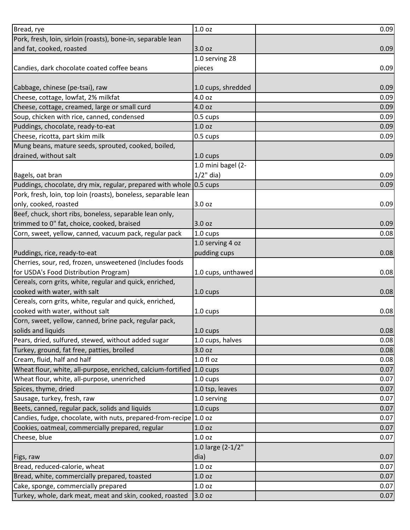| Bread, rye                                                            | 1.0 <sub>oz</sub>  | 0.09 |
|-----------------------------------------------------------------------|--------------------|------|
| Pork, fresh, loin, sirloin (roasts), bone-in, separable lean          |                    |      |
| and fat, cooked, roasted                                              | 3.0 oz             | 0.09 |
|                                                                       | 1.0 serving 28     |      |
| Candies, dark chocolate coated coffee beans                           | pieces             | 0.09 |
|                                                                       |                    |      |
| Cabbage, chinese (pe-tsai), raw                                       | 1.0 cups, shredded | 0.09 |
| Cheese, cottage, lowfat, 2% milkfat                                   | 4.0 oz             | 0.09 |
| Cheese, cottage, creamed, large or small curd                         | 4.0 oz             | 0.09 |
| Soup, chicken with rice, canned, condensed                            | $0.5 \text{ cups}$ | 0.09 |
| Puddings, chocolate, ready-to-eat                                     | 1.0 <sub>oz</sub>  | 0.09 |
| Cheese, ricotta, part skim milk                                       | 0.5 cups           | 0.09 |
| Mung beans, mature seeds, sprouted, cooked, boiled,                   |                    |      |
| drained, without salt                                                 | 1.0 cups           | 0.09 |
|                                                                       | 1.0 mini bagel (2- |      |
| Bagels, oat bran                                                      | $1/2$ " dia)       | 0.09 |
| Puddings, chocolate, dry mix, regular, prepared with whole 0.5 cups   |                    | 0.09 |
| Pork, fresh, loin, top loin (roasts), boneless, separable lean        |                    |      |
| only, cooked, roasted                                                 | 3.0 oz             | 0.09 |
| Beef, chuck, short ribs, boneless, separable lean only,               |                    |      |
| trimmed to 0" fat, choice, cooked, braised                            | 3.0 oz             | 0.09 |
| Corn, sweet, yellow, canned, vacuum pack, regular pack                | 1.0 cups           | 0.08 |
|                                                                       | 1.0 serving 4 oz   |      |
| Puddings, rice, ready-to-eat                                          | pudding cups       | 0.08 |
| Cherries, sour, red, frozen, unsweetened (Includes foods              |                    |      |
| for USDA's Food Distribution Program)                                 | 1.0 cups, unthawed | 0.08 |
| Cereals, corn grits, white, regular and quick, enriched,              |                    |      |
| cooked with water, with salt                                          | 1.0 cups           | 0.08 |
| Cereals, corn grits, white, regular and quick, enriched,              |                    |      |
| cooked with water, without salt                                       | 1.0 cups           | 0.08 |
| Corn, sweet, yellow, canned, brine pack, regular pack,                |                    |      |
| solids and liquids                                                    | 1.0 cups           | 0.08 |
| Pears, dried, sulfured, stewed, without added sugar                   | 1.0 cups, halves   | 0.08 |
| Turkey, ground, fat free, patties, broiled                            | 3.0 oz             | 0.08 |
| Cream, fluid, half and half                                           | 1.0 f1 oz          | 0.08 |
| Wheat flour, white, all-purpose, enriched, calcium-fortified 1.0 cups |                    | 0.07 |
| Wheat flour, white, all-purpose, unenriched                           | $1.0 \text{ cups}$ | 0.07 |
| Spices, thyme, dried                                                  | 1.0 tsp, leaves    | 0.07 |
| Sausage, turkey, fresh, raw                                           | 1.0 serving        | 0.07 |
| Beets, canned, regular pack, solids and liquids                       | 1.0 cups           | 0.07 |
| Candies, fudge, chocolate, with nuts, prepared-from-recipe 1.0 oz     |                    | 0.07 |
| Cookies, oatmeal, commercially prepared, regular                      | 1.0 <sub>oz</sub>  | 0.07 |
| Cheese, blue                                                          | 1.0 <sub>oz</sub>  | 0.07 |
|                                                                       | 1.0 large (2-1/2"  |      |
| Figs, raw                                                             | dia)               | 0.07 |
| Bread, reduced-calorie, wheat                                         | 1.0 <sub>oz</sub>  | 0.07 |
| Bread, white, commercially prepared, toasted                          | 1.0 <sub>oz</sub>  | 0.07 |
| Cake, sponge, commercially prepared                                   | 1.0 <sub>oz</sub>  | 0.07 |
| Turkey, whole, dark meat, meat and skin, cooked, roasted              | 3.0 oz             | 0.07 |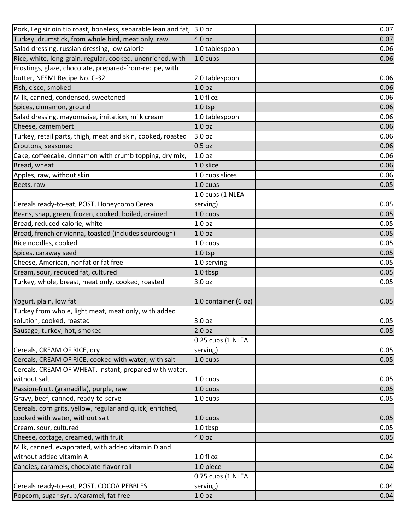| Pork, Leg sirloin tip roast, boneless, separable lean and fat,                      | 3.0 oz               | 0.07 |
|-------------------------------------------------------------------------------------|----------------------|------|
| Turkey, drumstick, from whole bird, meat only, raw                                  | 4.0 oz               | 0.07 |
| Salad dressing, russian dressing, low calorie                                       | 1.0 tablespoon       | 0.06 |
| Rice, white, long-grain, regular, cooked, unenriched, with                          | 1.0 cups             | 0.06 |
| Frostings, glaze, chocolate, prepared-from-recipe, with                             |                      |      |
| butter, NFSMI Recipe No. C-32                                                       | 2.0 tablespoon       | 0.06 |
| Fish, cisco, smoked                                                                 | 1.0 <sub>oz</sub>    | 0.06 |
| Milk, canned, condensed, sweetened                                                  | $1.0 f$ l oz         | 0.06 |
| Spices, cinnamon, ground                                                            | $1.0$ tsp            | 0.06 |
| Salad dressing, mayonnaise, imitation, milk cream                                   | 1.0 tablespoon       | 0.06 |
| Cheese, camembert                                                                   | 1.0 <sub>oz</sub>    | 0.06 |
| Turkey, retail parts, thigh, meat and skin, cooked, roasted                         | 3.0 oz               | 0.06 |
| Croutons, seasoned                                                                  | $0.5$ oz             | 0.06 |
| Cake, coffeecake, cinnamon with crumb topping, dry mix,                             | 1.0 <sub>oz</sub>    | 0.06 |
| Bread, wheat                                                                        | 1.0 slice            | 0.06 |
| Apples, raw, without skin                                                           | 1.0 cups slices      | 0.06 |
| Beets, raw                                                                          | 1.0 cups             | 0.05 |
|                                                                                     | 1.0 cups (1 NLEA     |      |
| Cereals ready-to-eat, POST, Honeycomb Cereal                                        | serving)             | 0.05 |
| Beans, snap, green, frozen, cooked, boiled, drained                                 | 1.0 cups             | 0.05 |
| Bread, reduced-calorie, white                                                       | 1.0 <sub>oz</sub>    | 0.05 |
| Bread, french or vienna, toasted (includes sourdough)                               | 1.0 <sub>oz</sub>    | 0.05 |
| Rice noodles, cooked                                                                | 1.0 cups             | 0.05 |
| Spices, caraway seed                                                                | $1.0$ tsp            | 0.05 |
| Cheese, American, nonfat or fat free                                                | 1.0 serving          | 0.05 |
| Cream, sour, reduced fat, cultured                                                  | 1.0 tbsp             | 0.05 |
| Turkey, whole, breast, meat only, cooked, roasted                                   | 3.0 <sub>oz</sub>    | 0.05 |
|                                                                                     |                      |      |
| Yogurt, plain, low fat                                                              | 1.0 container (6 oz) | 0.05 |
| Turkey from whole, light meat, meat only, with added                                |                      |      |
| solution, cooked, roasted                                                           | 3.0 oz               | 0.05 |
| Sausage, turkey, hot, smoked                                                        | 2.0 oz               | 0.05 |
|                                                                                     | 0.25 cups (1 NLEA    |      |
| Cereals, CREAM OF RICE, dry                                                         | serving)             | 0.05 |
| Cereals, CREAM OF RICE, cooked with water, with salt                                | 1.0 cups             | 0.05 |
| Cereals, CREAM OF WHEAT, instant, prepared with water,                              |                      |      |
| without salt                                                                        | 1.0 cups             | 0.05 |
| Passion-fruit, (granadilla), purple, raw                                            | 1.0 cups             | 0.05 |
| Gravy, beef, canned, ready-to-serve                                                 | 1.0 cups             | 0.05 |
| Cereals, corn grits, yellow, regular and quick, enriched,                           |                      |      |
| cooked with water, without salt                                                     | 1.0 cups             | 0.05 |
| Cream, sour, cultured                                                               | 1.0 tbsp             | 0.05 |
| Cheese, cottage, creamed, with fruit                                                | 4.0 oz               | 0.05 |
| Milk, canned, evaporated, with added vitamin D and                                  |                      |      |
| without added vitamin A                                                             | 1.0 fl oz            | 0.04 |
| Candies, caramels, chocolate-flavor roll                                            | 1.0 piece            | 0.04 |
|                                                                                     | 0.75 cups (1 NLEA    |      |
| Cereals ready-to-eat, POST, COCOA PEBBLES<br>Popcorn, sugar syrup/caramel, fat-free | serving)<br>1.0 oz   | 0.04 |
|                                                                                     |                      | 0.04 |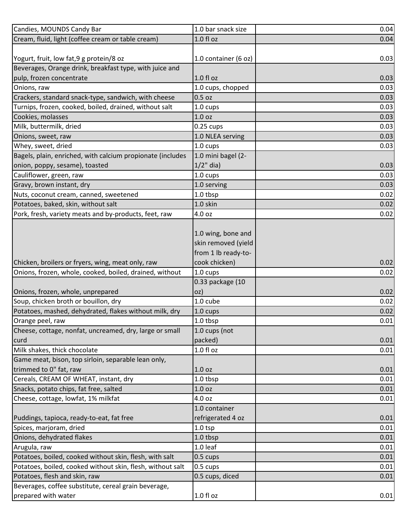| Candies, MOUNDS Candy Bar                                  | 1.0 bar snack size   | 0.04 |
|------------------------------------------------------------|----------------------|------|
| Cream, fluid, light (coffee cream or table cream)          | 1.0 f1 oz            | 0.04 |
|                                                            |                      |      |
| Yogurt, fruit, low fat, 9 g protein/8 oz                   | 1.0 container (6 oz) | 0.03 |
| Beverages, Orange drink, breakfast type, with juice and    |                      |      |
| pulp, frozen concentrate                                   | $1.0 f$ l oz         | 0.03 |
| Onions, raw                                                | 1.0 cups, chopped    | 0.03 |
| Crackers, standard snack-type, sandwich, with cheese       | $0.5$ oz             | 0.03 |
| Turnips, frozen, cooked, boiled, drained, without salt     | $1.0 \text{ cups}$   | 0.03 |
| Cookies, molasses                                          | 1.0 <sub>oz</sub>    | 0.03 |
| Milk, buttermilk, dried                                    | $0.25$ cups          | 0.03 |
| Onions, sweet, raw                                         | 1.0 NLEA serving     | 0.03 |
| Whey, sweet, dried                                         | 1.0 cups             | 0.03 |
| Bagels, plain, enriched, with calcium propionate (includes | 1.0 mini bagel (2-   |      |
| onion, poppy, sesame), toasted                             | $1/2$ " dia)         | 0.03 |
| Cauliflower, green, raw                                    | 1.0 cups             | 0.03 |
| Gravy, brown instant, dry                                  | 1.0 serving          | 0.03 |
| Nuts, coconut cream, canned, sweetened                     | 1.0 tbsp             | 0.02 |
| Potatoes, baked, skin, without salt                        | 1.0 skin             | 0.02 |
| Pork, fresh, variety meats and by-products, feet, raw      | 4.0 oz               | 0.02 |
|                                                            |                      |      |
|                                                            | 1.0 wing, bone and   |      |
|                                                            | skin removed (yield  |      |
|                                                            | from 1 lb ready-to-  |      |
| Chicken, broilers or fryers, wing, meat only, raw          | cook chicken)        | 0.02 |
| Onions, frozen, whole, cooked, boiled, drained, without    | 1.0 cups             | 0.02 |
|                                                            | 0.33 package (10     |      |
| Onions, frozen, whole, unprepared                          | oz)                  | 0.02 |
| Soup, chicken broth or bouillon, dry                       | 1.0 cube             | 0.02 |
| Potatoes, mashed, dehydrated, flakes without milk, dry     | 1.0 cups             | 0.02 |
| Orange peel, raw                                           | 1.0 tbsp             | 0.01 |
| Cheese, cottage, nonfat, uncreamed, dry, large or small    | 1.0 cups (not        |      |
| curd                                                       | packed)              | 0.01 |
| Milk shakes, thick chocolate                               | $1.0 f$ l oz         | 0.01 |
| Game meat, bison, top sirloin, separable lean only,        |                      |      |
| trimmed to 0" fat, raw                                     | 1.0 oz               | 0.01 |
| Cereals, CREAM OF WHEAT, instant, dry                      | 1.0 tbsp             | 0.01 |
| Snacks, potato chips, fat free, salted                     | 1.0 <sub>oz</sub>    | 0.01 |
| Cheese, cottage, lowfat, 1% milkfat                        | 4.0 oz               | 0.01 |
|                                                            | 1.0 container        |      |
| Puddings, tapioca, ready-to-eat, fat free                  | refrigerated 4 oz    | 0.01 |
| Spices, marjoram, dried                                    | $1.0$ tsp            | 0.01 |
| Onions, dehydrated flakes                                  | 1.0 tbsp             | 0.01 |
| Arugula, raw                                               | 1.0 leaf             | 0.01 |
| Potatoes, boiled, cooked without skin, flesh, with salt    | 0.5 cups             | 0.01 |
| Potatoes, boiled, cooked without skin, flesh, without salt | $0.5 \text{ cups}$   | 0.01 |
| Potatoes, flesh and skin, raw                              | 0.5 cups, diced      | 0.01 |
| Beverages, coffee substitute, cereal grain beverage,       |                      |      |
| prepared with water                                        | $1.0 f$ l oz         | 0.01 |